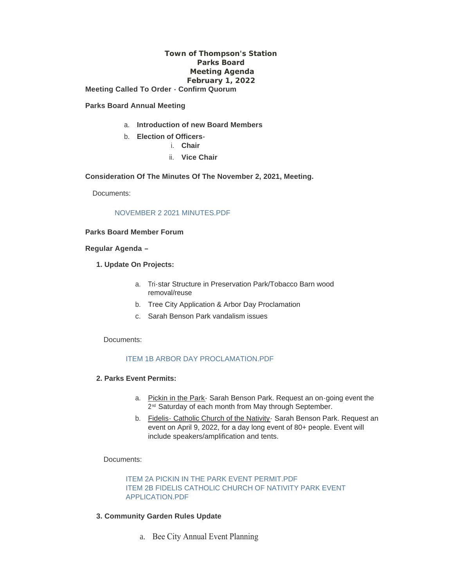## **Town of Thompson's Station Parks Board Meeting Agenda February 1, 2022**

**Meeting Called To Order - Confirm Quorum**

#### **Parks Board Annual Meeting**

- a. **Introduction of new Board Members**
- b. **Election of Officers**
	- i. **Chair**
	- ii. **Vice Chair**

#### **Consideration Of The Minutes Of The November 2, 2021, Meeting.**

Documents:

### [NOVEMBER 2 2021 MINUTES.PDF](https://www.thompsons-station.com/AgendaCenter/ViewFile/Item/3614?fileID=15162)

## **Parks Board Member Forum**

#### **Regular Agenda –**

- **1. Update On Projects:**
	- a. Tri-star Structure in Preservation Park/Tobacco Barn wood removal/reuse
	- b. Tree City Application & Arbor Day Proclamation
	- c. Sarah Benson Park vandalism issues

#### Documents:

## [ITEM 1B ARBOR DAY PROCLAMATION.PDF](https://www.thompsons-station.com/AgendaCenter/ViewFile/Item/3615?fileID=15163)

#### **2. Parks Event Permits:**

- a. Pickin in the Park- Sarah Benson Park. Request an on-going event the 2<sup>nd</sup> Saturday of each month from May through September.
- b. Fidelis- Catholic Church of the Nativity- Sarah Benson Park. Request an event on April 9, 2022, for a day long event of 80+ people. Event will include speakers/amplification and tents.

#### Documents:

[ITEM 2A PICKIN IN THE PARK EVENT PERMIT.PDF](https://www.thompsons-station.com/AgendaCenter/ViewFile/Item/3616?fileID=15165) [ITEM 2B FIDELIS CATHOLIC CHURCH OF NATIVITY PARK EVENT](https://www.thompsons-station.com/AgendaCenter/ViewFile/Item/3616?fileID=15164)  APPLICATION.PDF

#### **3. Community Garden Rules Update**

a. Bee City Annual Event Planning